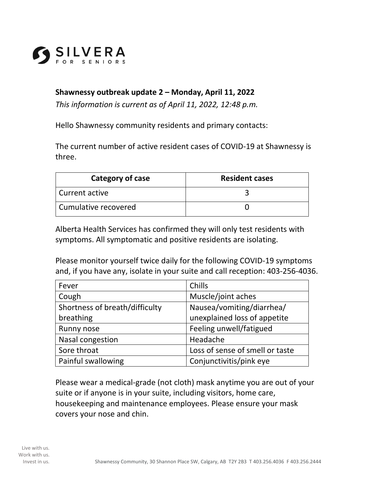

## **Shawnessy outbreak update 2 – Monday, April 11, 2022**

*This information is current as of April 11, 2022, 12:48 p.m.* 

Hello Shawnessy community residents and primary contacts:

The current number of active resident cases of COVID-19 at Shawnessy is three.

| Category of case       | <b>Resident cases</b> |
|------------------------|-----------------------|
| l Current active       |                       |
| l Cumulative recovered |                       |

Alberta Health Services has confirmed they will only test residents with symptoms. All symptomatic and positive residents are isolating.

Please monitor yourself twice daily for the following COVID-19 symptoms and, if you have any, isolate in your suite and call reception: 403-256-4036.

| Fever                          | Chills                          |
|--------------------------------|---------------------------------|
| Cough                          | Muscle/joint aches              |
| Shortness of breath/difficulty | Nausea/vomiting/diarrhea/       |
| breathing                      | unexplained loss of appetite    |
| Runny nose                     | Feeling unwell/fatigued         |
| Nasal congestion               | Headache                        |
| Sore throat                    | Loss of sense of smell or taste |
| Painful swallowing             | Conjunctivitis/pink eye         |

Please wear a medical-grade (not cloth) mask anytime you are out of your suite or if anyone is in your suite, including visitors, home care, housekeeping and maintenance employees. Please ensure your mask covers your nose and chin.